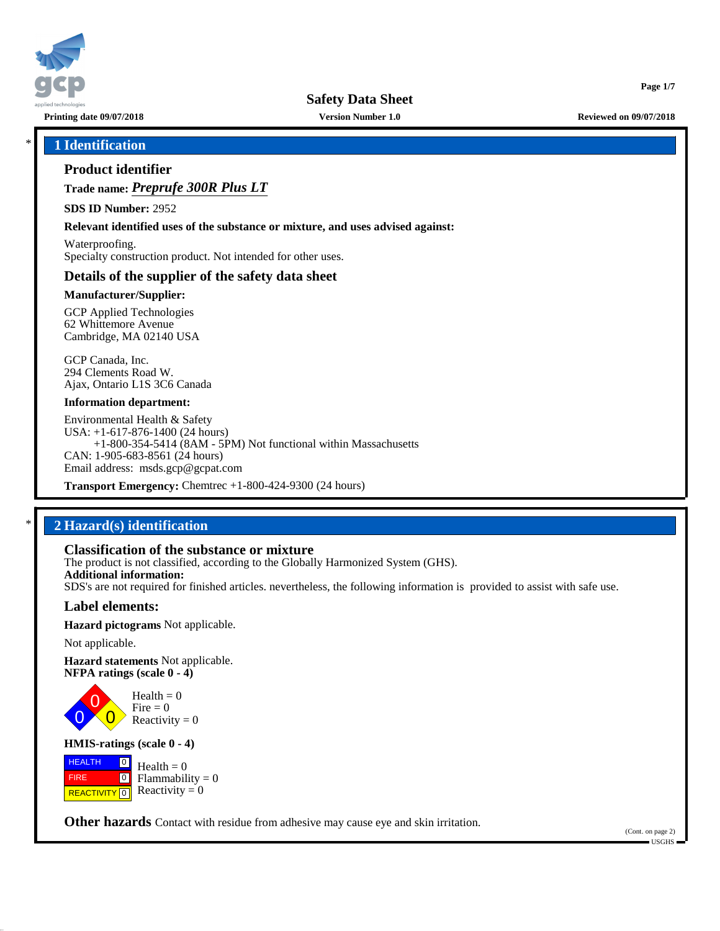

**Printing date 09/07/2018 Version Number 1.0 Reviewed on 09/07/2018**

**Page 1/7**

## \* **1 Identification**

## **Product identifier**

**Trade name:** *Preprufe 300R Plus LT*

**SDS ID Number:** 2952

**Relevant identified uses of the substance or mixture, and uses advised against:**

Waterproofing. Specialty construction product. Not intended for other uses.

## **Details of the supplier of the safety data sheet**

#### **Manufacturer/Supplier:**

GCP Applied Technologies 62 Whittemore Avenue Cambridge, MA 02140 USA

GCP Canada, Inc. 294 Clements Road W. Ajax, Ontario L1S 3C6 Canada

#### **Information department:**

Environmental Health & Safety USA: +1-617-876-1400 (24 hours) +1-800-354-5414 (8AM - 5PM) Not functional within Massachusetts CAN: 1-905-683-8561 (24 hours) Email address: msds.gcp@gcpat.com

**Transport Emergency:** Chemtrec +1-800-424-9300 (24 hours)

## \* **2 Hazard(s) identification**

#### **Classification of the substance or mixture**

The product is not classified, according to the Globally Harmonized System (GHS). **Additional information:** SDS's are not required for finished articles. nevertheless, the following information is provided to assist with safe use.

#### **Label elements:**

**Hazard pictograms** Not applicable.

Not applicable.

0

**Hazard statements** Not applicable. **NFPA ratings (scale 0 - 4)**

> 0  $\overline{\mathbf{0}}$  $Health = 0$ Fire  $= 0$ Reactivity  $= 0$

#### **HMIS-ratings (scale 0 - 4)**

 HEALTH FIRE **REACTIVITY** 0  $\boxed{0}$  $\boxed{0}$  $Health = 0$  $Flammability = 0$ Reactivity  $= 0$ 

**Other hazards** Contact with residue from adhesive may cause eye and skin irritation.

(Cont. on page 2) USGHS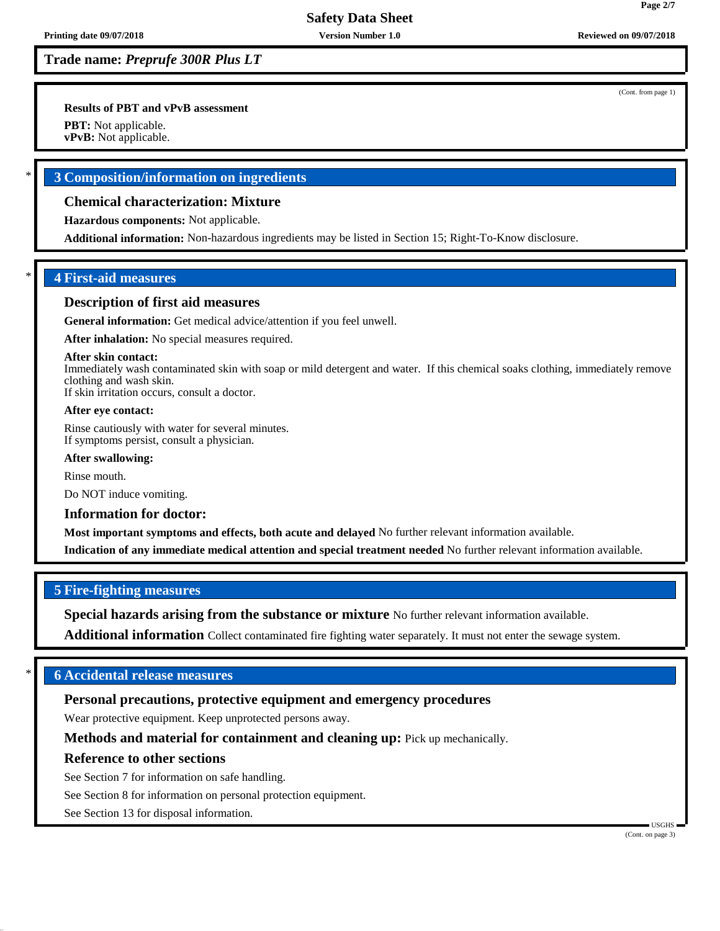**Trade name:** *Preprufe 300R Plus LT*

**Results of PBT and vPvB assessment**

**PBT:** Not applicable.

**vPvB:** Not applicable.

## \* **3 Composition/information on ingredients**

## **Chemical characterization: Mixture**

**Hazardous components:** Not applicable.

**Additional information:** Non-hazardous ingredients may be listed in Section 15; Right-To-Know disclosure.

## \* **4 First-aid measures**

#### **Description of first aid measures**

**General information:** Get medical advice/attention if you feel unwell.

**After inhalation:** No special measures required.

#### **After skin contact:**

Immediately wash contaminated skin with soap or mild detergent and water. If this chemical soaks clothing, immediately remove clothing and wash skin.

If skin irritation occurs, consult a doctor.

#### **After eye contact:**

Rinse cautiously with water for several minutes. If symptoms persist, consult a physician.

#### **After swallowing:**

Rinse mouth.

Do NOT induce vomiting.

#### **Information for doctor:**

**Most important symptoms and effects, both acute and delayed** No further relevant information available.

**Indication of any immediate medical attention and special treatment needed** No further relevant information available.

## **5 Fire-fighting measures**

**Special hazards arising from the substance or mixture** No further relevant information available.

**Additional information** Collect contaminated fire fighting water separately. It must not enter the sewage system.

## \* **6 Accidental release measures**

## **Personal precautions, protective equipment and emergency procedures**

Wear protective equipment. Keep unprotected persons away.

**Methods and material for containment and cleaning up:** Pick up mechanically.

## **Reference to other sections**

See Section 7 for information on safe handling.

See Section 8 for information on personal protection equipment.

See Section 13 for disposal information.

(Cont. from page 1)

**Page 2/7**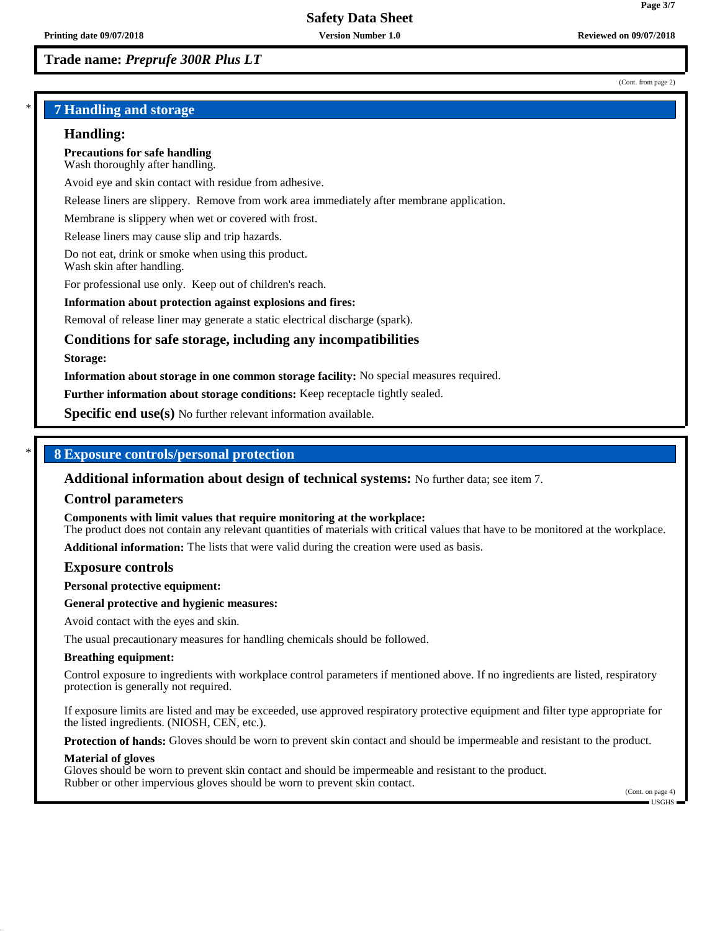## **Trade name:** *Preprufe 300R Plus LT*

(Cont. from page 2)

**Page 3/7**

## \* **7 Handling and storage**

#### **Handling:**

**Precautions for safe handling** Wash thoroughly after handling.

Avoid eye and skin contact with residue from adhesive.

Release liners are slippery. Remove from work area immediately after membrane application.

Membrane is slippery when wet or covered with frost.

Release liners may cause slip and trip hazards.

Do not eat, drink or smoke when using this product. Wash skin after handling.

For professional use only. Keep out of children's reach.

#### **Information about protection against explosions and fires:**

Removal of release liner may generate a static electrical discharge (spark).

## **Conditions for safe storage, including any incompatibilities**

#### **Storage:**

**Information about storage in one common storage facility:** No special measures required.

**Further information about storage conditions:** Keep receptacle tightly sealed.

**Specific end use(s)** No further relevant information available.

## \* **8 Exposure controls/personal protection**

**Additional information about design of technical systems:** No further data; see item 7.

#### **Control parameters**

**Components with limit values that require monitoring at the workplace:**

The product does not contain any relevant quantities of materials with critical values that have to be monitored at the workplace.

**Additional information:** The lists that were valid during the creation were used as basis.

#### **Exposure controls**

**Personal protective equipment:**

#### **General protective and hygienic measures:**

Avoid contact with the eyes and skin.

The usual precautionary measures for handling chemicals should be followed.

#### **Breathing equipment:**

Control exposure to ingredients with workplace control parameters if mentioned above. If no ingredients are listed, respiratory protection is generally not required.

If exposure limits are listed and may be exceeded, use approved respiratory protective equipment and filter type appropriate for the listed ingredients. (NIOSH, CEN, etc.).

**Protection of hands:** Gloves should be worn to prevent skin contact and should be impermeable and resistant to the product.

#### **Material of gloves**

Gloves should be worn to prevent skin contact and should be impermeable and resistant to the product. Rubber or other impervious gloves should be worn to prevent skin contact.

(Cont. on page 4) USGHS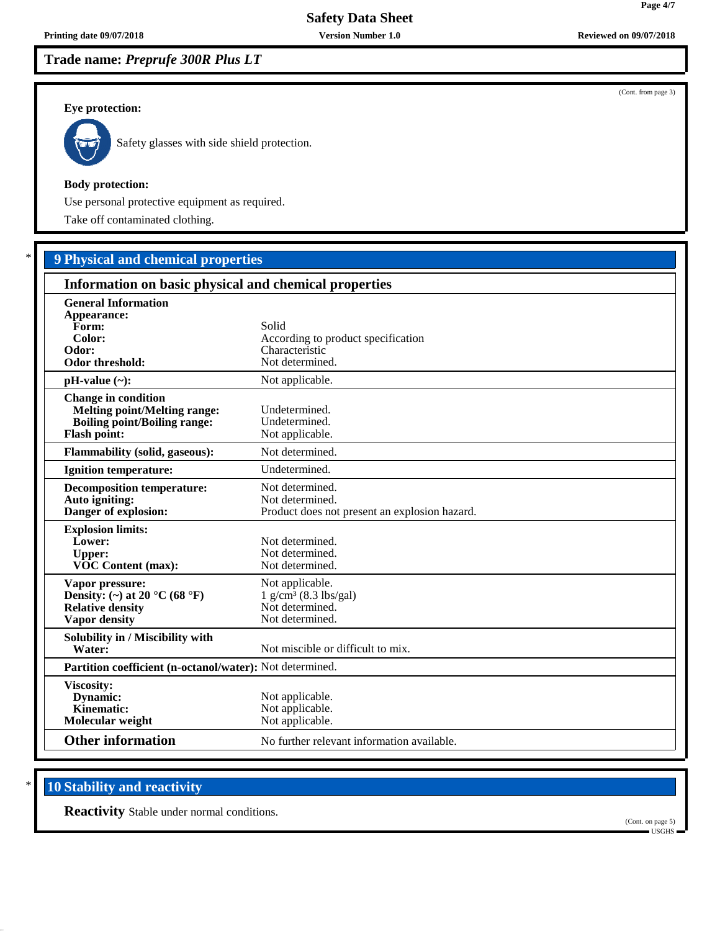**Trade name:** *Preprufe 300R Plus LT*

#### **Eye protection:**



Safety glasses with side shield protection.

#### **Body protection:**

Use personal protective equipment as required.

Take off contaminated clothing.

# \* **9 Physical and chemical properties**

| Information on basic physical and chemical properties                                                                           |                                                                                              |  |
|---------------------------------------------------------------------------------------------------------------------------------|----------------------------------------------------------------------------------------------|--|
| <b>General Information</b><br>Appearance:<br>Form:<br>Color:<br>Odor:<br>Odor threshold:                                        | Solid<br>According to product specification<br>Characteristic<br>Not determined.             |  |
| $pH-value (\sim):$                                                                                                              | Not applicable.                                                                              |  |
| <b>Change in condition</b><br><b>Melting point/Melting range:</b><br><b>Boiling point/Boiling range:</b><br><b>Flash point:</b> | Undetermined.<br>Undetermined.<br>Not applicable.                                            |  |
| <b>Flammability (solid, gaseous):</b>                                                                                           | Not determined.                                                                              |  |
| Ignition temperature:                                                                                                           | Undetermined.                                                                                |  |
| <b>Decomposition temperature:</b><br>Auto igniting:<br>Danger of explosion:                                                     | Not determined.<br>Not determined.<br>Product does not present an explosion hazard.          |  |
| <b>Explosion limits:</b><br>Lower:<br><b>Upper:</b><br><b>VOC Content (max):</b>                                                | Not determined.<br>Not determined.<br>Not determined.                                        |  |
| Vapor pressure:<br>Density: (~) at 20 $^{\circ}$ C (68 $^{\circ}$ F)<br><b>Relative density</b><br><b>Vapor density</b>         | Not applicable.<br>$1$ g/cm <sup>3</sup> (8.3 lbs/gal)<br>Not determined.<br>Not determined. |  |
| Solubility in / Miscibility with<br>Water:                                                                                      | Not miscible or difficult to mix.                                                            |  |
| Partition coefficient (n-octanol/water): Not determined.                                                                        |                                                                                              |  |
| Viscosity:<br>Dynamic:<br>Kinematic:<br>Molecular weight                                                                        | Not applicable.<br>Not applicable.<br>Not applicable.                                        |  |
| <b>Other information</b>                                                                                                        | No further relevant information available.                                                   |  |

# **10 Stability and reactivity**

**Reactivity** Stable under normal conditions.

(Cont. on page 5) USGHS

**Printing date 09/07/2018 Version Number 1.0 Reviewed on 09/07/2018**

(Cont. from page 3)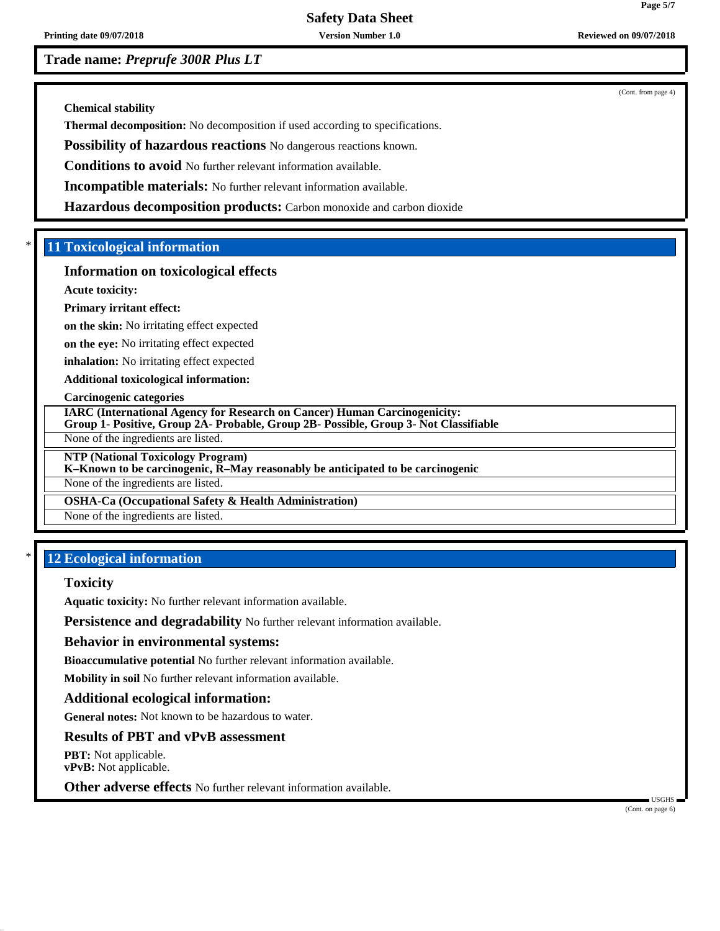**Printing date 09/07/2018 Version Number 1.0 Reviewed on 09/07/2018**

**Trade name:** *Preprufe 300R Plus LT*

(Cont. from page 4)

**Chemical stability**

**Thermal decomposition:** No decomposition if used according to specifications.

**Possibility of hazardous reactions** No dangerous reactions known.

**Conditions to avoid** No further relevant information available.

**Incompatible materials:** No further relevant information available.

**Hazardous decomposition products:** Carbon monoxide and carbon dioxide

## \* **11 Toxicological information**

#### **Information on toxicological effects**

**Acute toxicity:**

#### **Primary irritant effect:**

**on the skin:** No irritating effect expected

**on the eye:** No irritating effect expected

**inhalation:** No irritating effect expected

**Additional toxicological information:**

#### **Carcinogenic categories**

**IARC (International Agency for Research on Cancer) Human Carcinogenicity:**

**Group 1- Positive, Group 2A- Probable, Group 2B- Possible, Group 3- Not Classifiable**

None of the ingredients are listed.

**NTP (National Toxicology Program)**

## **K–Known to be carcinogenic, R–May reasonably be anticipated to be carcinogenic**

None of the ingredients are listed.

## **OSHA-Ca (Occupational Safety & Health Administration)**

None of the ingredients are listed.

## **12 Ecological information**

#### **Toxicity**

**Aquatic toxicity:** No further relevant information available.

**Persistence and degradability** No further relevant information available.

#### **Behavior in environmental systems:**

**Bioaccumulative potential** No further relevant information available.

**Mobility in soil** No further relevant information available.

## **Additional ecological information:**

**General notes:** Not known to be hazardous to water.

## **Results of PBT and vPvB assessment**

**PBT:** Not applicable. **vPvB:** Not applicable.

**Other adverse effects** No further relevant information available.

(Cont. on page 6)

USGHS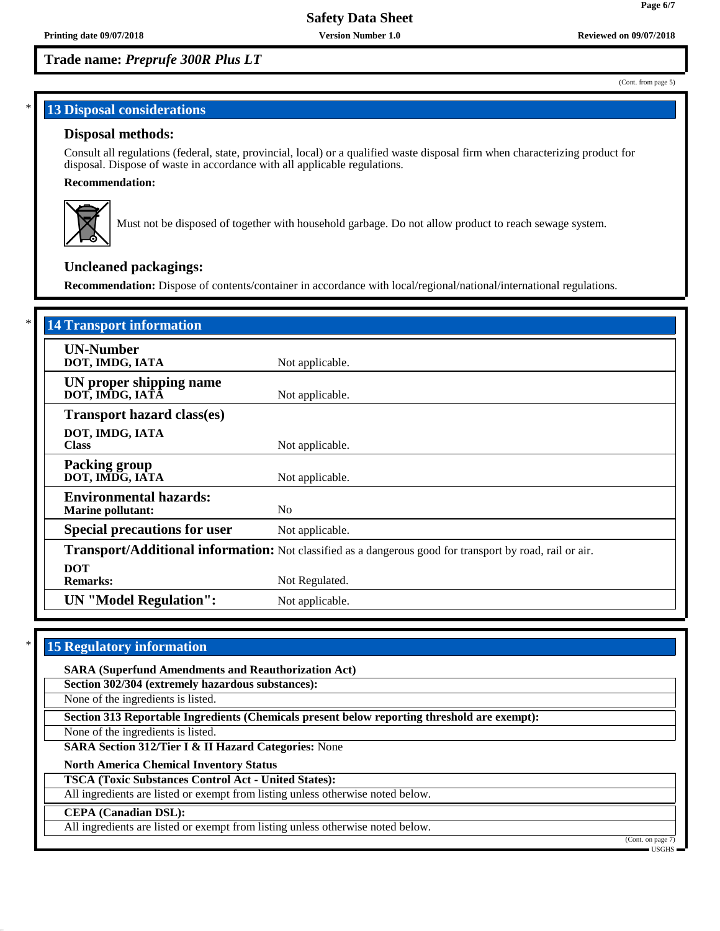## **Trade name:** *Preprufe 300R Plus LT*

# **13 Disposal considerations**

## **Disposal methods:**

Consult all regulations (federal, state, provincial, local) or a qualified waste disposal firm when characterizing product for disposal. Dispose of waste in accordance with all applicable regulations.

#### **Recommendation:**



Must not be disposed of together with household garbage. Do not allow product to reach sewage system.

## **Uncleaned packagings:**

**Recommendation:** Dispose of contents/container in accordance with local/regional/national/international regulations.

| <b>14 Transport information</b>                           |                                                                                                          |
|-----------------------------------------------------------|----------------------------------------------------------------------------------------------------------|
| <b>UN-Number</b><br>DOT, IMDG, IATA                       | Not applicable.                                                                                          |
| UN proper shipping name<br>DOT, IMDG, IATÃ                | Not applicable.                                                                                          |
| <b>Transport hazard class(es)</b>                         |                                                                                                          |
| DOT, IMDG, IATA<br><b>Class</b>                           | Not applicable.                                                                                          |
| <b>Packing group</b><br>DOT, IMDG, IATA                   | Not applicable.                                                                                          |
| <b>Environmental hazards:</b><br><b>Marine pollutant:</b> | N <sub>0</sub>                                                                                           |
| <b>Special precautions for user</b>                       | Not applicable.                                                                                          |
|                                                           | Transport/Additional information: Not classified as a dangerous good for transport by road, rail or air. |
| <b>DOT</b><br><b>Remarks:</b>                             | Not Regulated.                                                                                           |
| <b>UN</b> "Model Regulation":                             | Not applicable.                                                                                          |

## **15 Regulatory information**

**SARA (Superfund Amendments and Reauthorization Act)**

**Section 302/304 (extremely hazardous substances):**

None of the ingredients is listed.

**Section 313 Reportable Ingredients (Chemicals present below reporting threshold are exempt):**

None of the ingredients is listed.

**SARA Section 312/Tier I & II Hazard Categories:** None

**North America Chemical Inventory Status**

**TSCA (Toxic Substances Control Act - United States):**

All ingredients are listed or exempt from listing unless otherwise noted below.

#### **CEPA (Canadian DSL):**

All ingredients are listed or exempt from listing unless otherwise noted below.

(Cont. on page USGHS

(Cont. from page 5)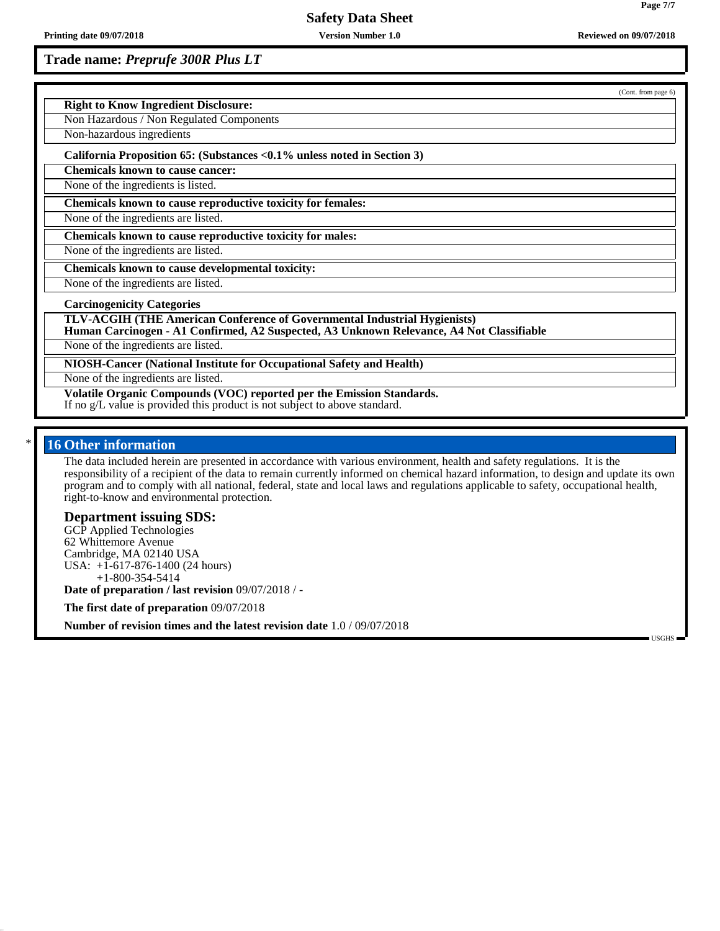**Trade name:** *Preprufe 300R Plus LT*

|                                                                                                                                                                              | (Cont. from page 6) |
|------------------------------------------------------------------------------------------------------------------------------------------------------------------------------|---------------------|
| <b>Right to Know Ingredient Disclosure:</b>                                                                                                                                  |                     |
| Non Hazardous / Non Regulated Components                                                                                                                                     |                     |
| Non-hazardous ingredients                                                                                                                                                    |                     |
| California Proposition 65: (Substances < 0.1% unless noted in Section 3)                                                                                                     |                     |
| <b>Chemicals known to cause cancer:</b>                                                                                                                                      |                     |
| None of the ingredients is listed.                                                                                                                                           |                     |
| Chemicals known to cause reproductive toxicity for females:                                                                                                                  |                     |
| None of the ingredients are listed.                                                                                                                                          |                     |
| Chemicals known to cause reproductive toxicity for males:                                                                                                                    |                     |
| None of the ingredients are listed.                                                                                                                                          |                     |
| Chemicals known to cause developmental toxicity:                                                                                                                             |                     |
| None of the ingredients are listed.                                                                                                                                          |                     |
| <b>Carcinogenicity Categories</b>                                                                                                                                            |                     |
| <b>TLV-ACGIH (THE American Conference of Governmental Industrial Hygienists)</b><br>Human Carcinogen - A1 Confirmed, A2 Suspected, A3 Unknown Relevance, A4 Not Classifiable |                     |
| None of the ingredients are listed.                                                                                                                                          |                     |
| NIOSH-Cancer (National Institute for Occupational Safety and Health)                                                                                                         |                     |
| None of the ingredients are listed.                                                                                                                                          |                     |
| Volatile Organic Compounds (VOC) reported per the Emission Standards.<br>If no g/L value is provided this product is not subject to above standard.                          |                     |

## 16 Other information

The data included herein are presented in accordance with various environment, health and safety regulations. It is the responsibility of a recipient of the data to remain currently informed on chemical hazard information, to design and update its own program and to comply with all national, federal, state and local laws and regulations applicable to safety, occupational health, right-to-know and environmental protection.

## **Department issuing SDS:**

GCP Applied Technologies 62 Whittemore Avenue Cambridge, MA 02140 USA USA: +1-617-876-1400 (24 hours) +1-800-354-5414

**Date of preparation / last revision** 09/07/2018 / -

**The first date of preparation** 09/07/2018

**Number of revision times and the latest revision date** 1.0 / 09/07/2018

USGHS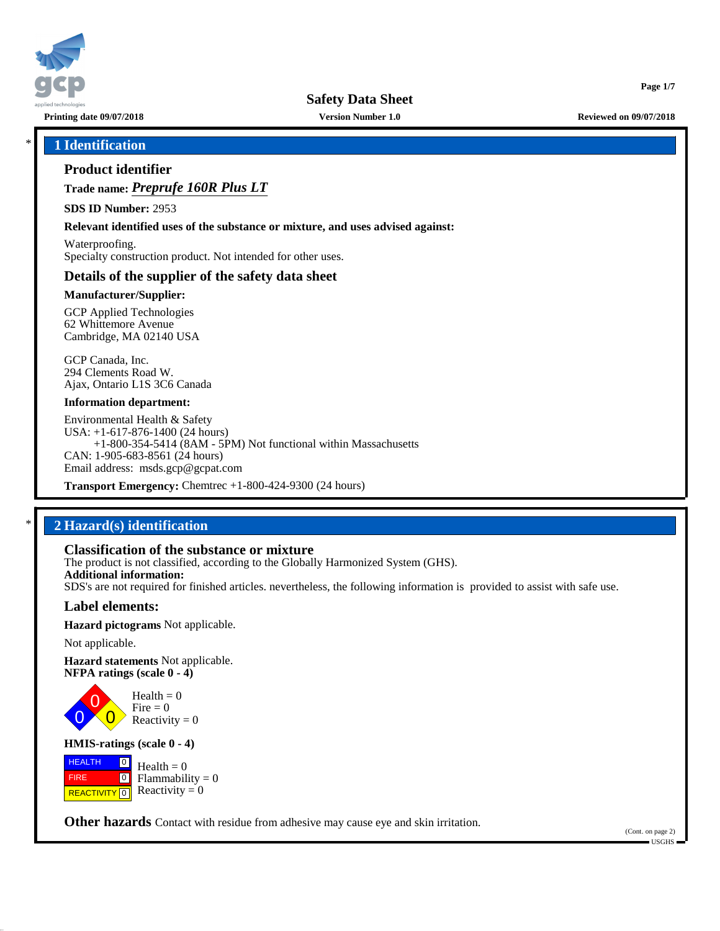

**Printing date 09/07/2018 Version Number 1.0 Reviewed on 09/07/2018**

**Page 1/7**

## \* **1 Identification**

## **Product identifier**

**Trade name:** *Preprufe 160R Plus LT*

**SDS ID Number:** 2953

**Relevant identified uses of the substance or mixture, and uses advised against:**

Waterproofing. Specialty construction product. Not intended for other uses.

## **Details of the supplier of the safety data sheet**

#### **Manufacturer/Supplier:**

GCP Applied Technologies 62 Whittemore Avenue Cambridge, MA 02140 USA

GCP Canada, Inc. 294 Clements Road W. Ajax, Ontario L1S 3C6 Canada

#### **Information department:**

Environmental Health & Safety USA: +1-617-876-1400 (24 hours) +1-800-354-5414 (8AM - 5PM) Not functional within Massachusetts CAN: 1-905-683-8561 (24 hours) Email address: msds.gcp@gcpat.com

**Transport Emergency:** Chemtrec +1-800-424-9300 (24 hours)

# \* **2 Hazard(s) identification**

## **Classification of the substance or mixture**

The product is not classified, according to the Globally Harmonized System (GHS). **Additional information:** SDS's are not required for finished articles. nevertheless, the following information is provided to assist with safe use.

## **Label elements:**

**Hazard pictograms** Not applicable.

Not applicable.

0

**Hazard statements** Not applicable. **NFPA ratings (scale 0 - 4)**

> 0  $\overline{\mathbf{0}}$  $Health = 0$ Fire  $= 0$ Reactivity  $= 0$

#### **HMIS-ratings (scale 0 - 4)**

 HEALTH FIRE **REACTIVITY** 0  $\boxed{0}$  $\boxed{0}$  $Health = 0$  $Flammability = 0$ Reactivity  $= 0$ 

**Other hazards** Contact with residue from adhesive may cause eye and skin irritation.

(Cont. on page 2) USGHS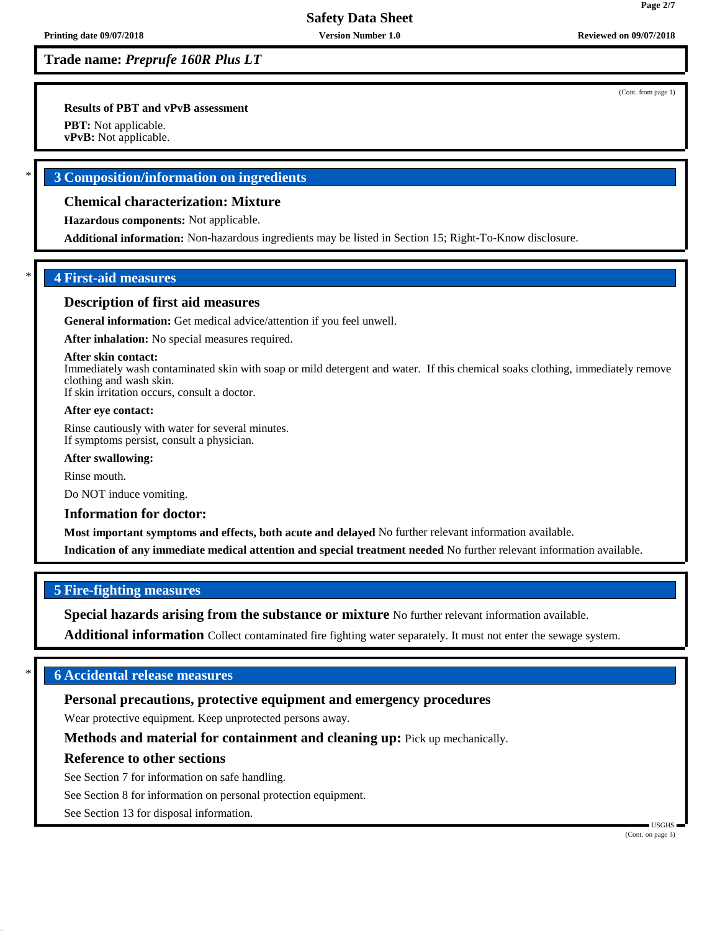**Trade name:** *Preprufe 160R Plus LT*

**Results of PBT and vPvB assessment**

**PBT:** Not applicable.

**vPvB:** Not applicable.

## \* **3 Composition/information on ingredients**

## **Chemical characterization: Mixture**

**Hazardous components:** Not applicable.

**Additional information:** Non-hazardous ingredients may be listed in Section 15; Right-To-Know disclosure.

## \* **4 First-aid measures**

#### **Description of first aid measures**

**General information:** Get medical advice/attention if you feel unwell.

**After inhalation:** No special measures required.

#### **After skin contact:**

Immediately wash contaminated skin with soap or mild detergent and water. If this chemical soaks clothing, immediately remove clothing and wash skin.

If skin irritation occurs, consult a doctor.

#### **After eye contact:**

Rinse cautiously with water for several minutes. If symptoms persist, consult a physician.

#### **After swallowing:**

Rinse mouth.

Do NOT induce vomiting.

#### **Information for doctor:**

**Most important symptoms and effects, both acute and delayed** No further relevant information available.

**Indication of any immediate medical attention and special treatment needed** No further relevant information available.

## **5 Fire-fighting measures**

**Special hazards arising from the substance or mixture** No further relevant information available.

**Additional information** Collect contaminated fire fighting water separately. It must not enter the sewage system.

## \* **6 Accidental release measures**

## **Personal precautions, protective equipment and emergency procedures**

Wear protective equipment. Keep unprotected persons away.

**Methods and material for containment and cleaning up:** Pick up mechanically.

## **Reference to other sections**

See Section 7 for information on safe handling.

See Section 8 for information on personal protection equipment.

See Section 13 for disposal information.

(Cont. from page 1)

**Page 2/7**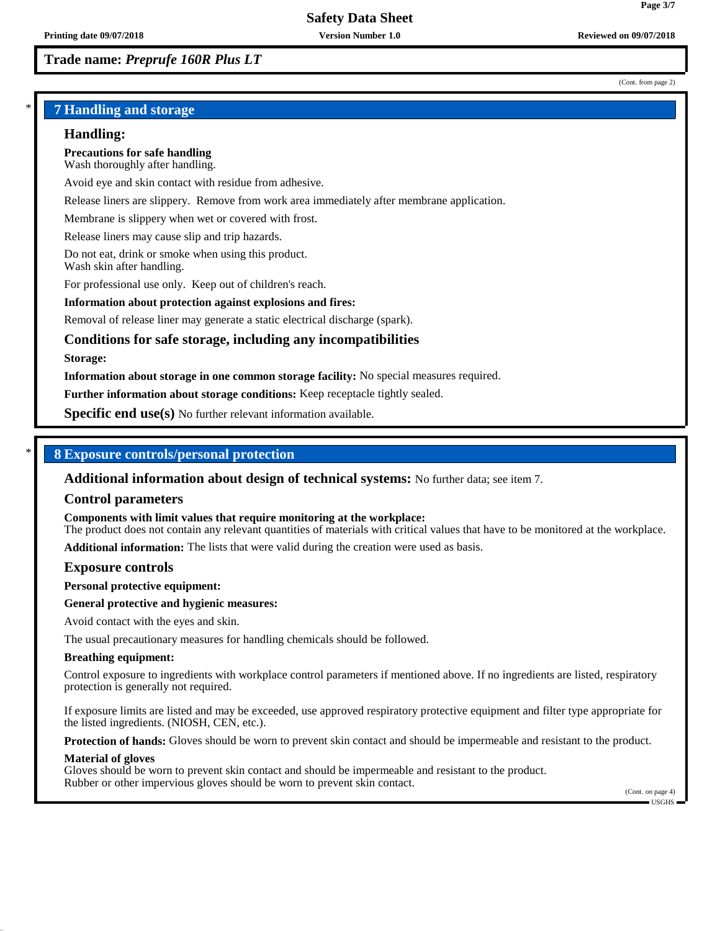## **Trade name:** *Preprufe 160R Plus LT*

#### (Cont. from page 2)

**Page 3/7**

## \* **7 Handling and storage**

#### **Handling:**

**Precautions for safe handling** Wash thoroughly after handling.

Avoid eye and skin contact with residue from adhesive.

Release liners are slippery. Remove from work area immediately after membrane application.

Membrane is slippery when wet or covered with frost.

Release liners may cause slip and trip hazards.

Do not eat, drink or smoke when using this product. Wash skin after handling.

For professional use only. Keep out of children's reach.

#### **Information about protection against explosions and fires:**

Removal of release liner may generate a static electrical discharge (spark).

## **Conditions for safe storage, including any incompatibilities**

#### **Storage:**

**Information about storage in one common storage facility:** No special measures required.

**Further information about storage conditions:** Keep receptacle tightly sealed.

**Specific end use(s)** No further relevant information available.

## \* **8 Exposure controls/personal protection**

**Additional information about design of technical systems:** No further data; see item 7.

#### **Control parameters**

**Components with limit values that require monitoring at the workplace:**

The product does not contain any relevant quantities of materials with critical values that have to be monitored at the workplace.

**Additional information:** The lists that were valid during the creation were used as basis.

#### **Exposure controls**

**Personal protective equipment:**

#### **General protective and hygienic measures:**

Avoid contact with the eyes and skin.

The usual precautionary measures for handling chemicals should be followed.

#### **Breathing equipment:**

Control exposure to ingredients with workplace control parameters if mentioned above. If no ingredients are listed, respiratory protection is generally not required.

If exposure limits are listed and may be exceeded, use approved respiratory protective equipment and filter type appropriate for the listed ingredients. (NIOSH, CEN, etc.).

**Protection of hands:** Gloves should be worn to prevent skin contact and should be impermeable and resistant to the product.

#### **Material of gloves**

Gloves should be worn to prevent skin contact and should be impermeable and resistant to the product. Rubber or other impervious gloves should be worn to prevent skin contact.

(Cont. on page 4) USGHS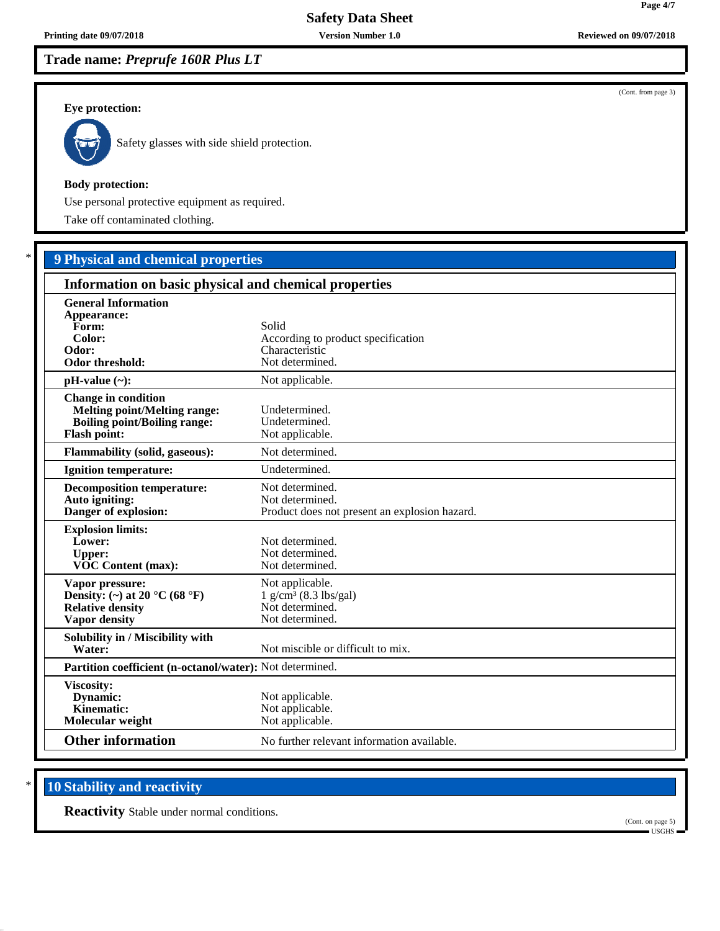**Trade name:** *Preprufe 160R Plus LT*

#### **Eye protection:**



Safety glasses with side shield protection.

#### **Body protection:**

Use personal protective equipment as required.

Take off contaminated clothing.

# \* **9 Physical and chemical properties**

| Information on basic physical and chemical properties                                                                           |                                                                                              |  |
|---------------------------------------------------------------------------------------------------------------------------------|----------------------------------------------------------------------------------------------|--|
| <b>General Information</b><br>Appearance:<br>Form:<br>Color:<br>Odor:<br>Odor threshold:                                        | Solid<br>According to product specification<br>Characteristic<br>Not determined.             |  |
| $pH-value (\sim):$                                                                                                              | Not applicable.                                                                              |  |
| <b>Change in condition</b><br><b>Melting point/Melting range:</b><br><b>Boiling point/Boiling range:</b><br><b>Flash point:</b> | Undetermined.<br>Undetermined.<br>Not applicable.                                            |  |
| <b>Flammability (solid, gaseous):</b>                                                                                           | Not determined.                                                                              |  |
| <b>Ignition temperature:</b>                                                                                                    | Undetermined.                                                                                |  |
| <b>Decomposition temperature:</b><br>Auto igniting:<br>Danger of explosion:                                                     | Not determined.<br>Not determined.<br>Product does not present an explosion hazard.          |  |
| <b>Explosion limits:</b><br>Lower:<br><b>Upper:</b><br><b>VOC Content (max):</b>                                                | Not determined.<br>Not determined.<br>Not determined.                                        |  |
| Vapor pressure:<br>Density: (~) at 20 $^{\circ}$ C (68 $^{\circ}$ F)<br><b>Relative density</b><br>Vapor density                | Not applicable.<br>$1$ g/cm <sup>3</sup> (8.3 lbs/gal)<br>Not determined.<br>Not determined. |  |
| Solubility in / Miscibility with<br>Water:                                                                                      | Not miscible or difficult to mix.                                                            |  |
| Partition coefficient (n-octanol/water): Not determined.                                                                        |                                                                                              |  |
| Viscosity:<br>Dynamic:<br>Kinematic:<br>Molecular weight                                                                        | Not applicable.<br>Not applicable.<br>Not applicable.                                        |  |
| <b>Other information</b>                                                                                                        | No further relevant information available.                                                   |  |

# **10 Stability and reactivity**

**Reactivity** Stable under normal conditions.

(Cont. on page 5) USGHS

(Cont. from page 3)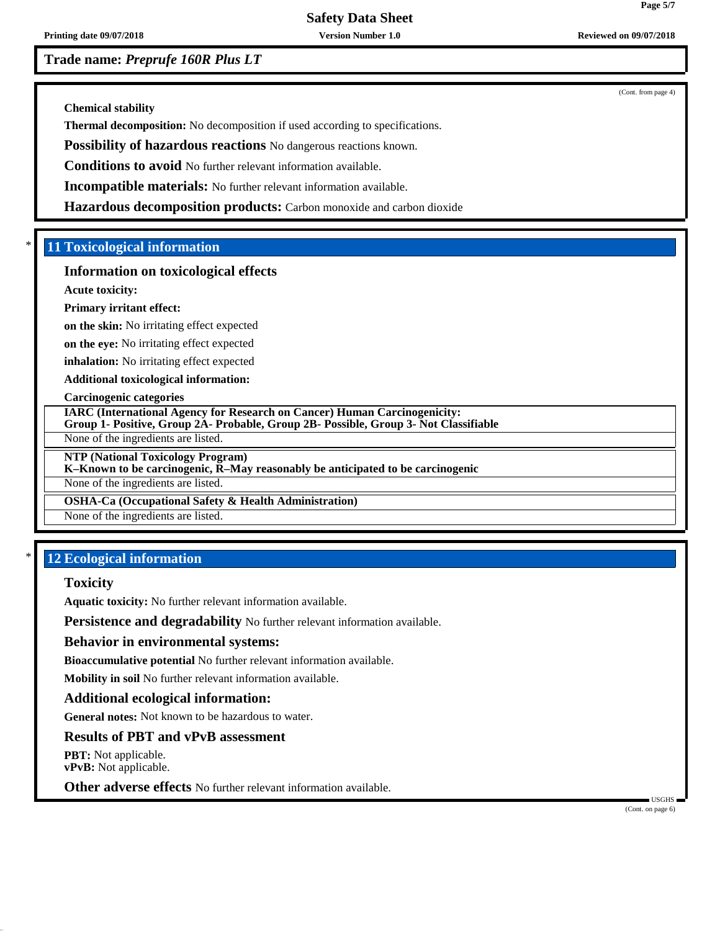**Printing date 09/07/2018 Version Number 1.0 Reviewed on 09/07/2018**

**Trade name:** *Preprufe 160R Plus LT*

(Cont. from page 4)

**Chemical stability**

**Thermal decomposition:** No decomposition if used according to specifications.

**Possibility of hazardous reactions** No dangerous reactions known.

**Conditions to avoid** No further relevant information available.

**Incompatible materials:** No further relevant information available.

**Hazardous decomposition products:** Carbon monoxide and carbon dioxide

## \* **11 Toxicological information**

#### **Information on toxicological effects**

**Acute toxicity:**

#### **Primary irritant effect:**

**on the skin:** No irritating effect expected

**on the eye:** No irritating effect expected

**inhalation:** No irritating effect expected

**Additional toxicological information:**

#### **Carcinogenic categories**

**IARC (International Agency for Research on Cancer) Human Carcinogenicity:**

**Group 1- Positive, Group 2A- Probable, Group 2B- Possible, Group 3- Not Classifiable**

None of the ingredients are listed.

**NTP (National Toxicology Program)**

## **K–Known to be carcinogenic, R–May reasonably be anticipated to be carcinogenic**

None of the ingredients are listed.

## **OSHA-Ca (Occupational Safety & Health Administration)**

None of the ingredients are listed.

## \* **12 Ecological information**

#### **Toxicity**

**Aquatic toxicity:** No further relevant information available.

**Persistence and degradability** No further relevant information available.

#### **Behavior in environmental systems:**

**Bioaccumulative potential** No further relevant information available.

**Mobility in soil** No further relevant information available.

## **Additional ecological information:**

**General notes:** Not known to be hazardous to water.

## **Results of PBT and vPvB assessment**

**PBT:** Not applicable. **vPvB:** Not applicable.

**Other adverse effects** No further relevant information available.

 USGHS (Cont. on page 6)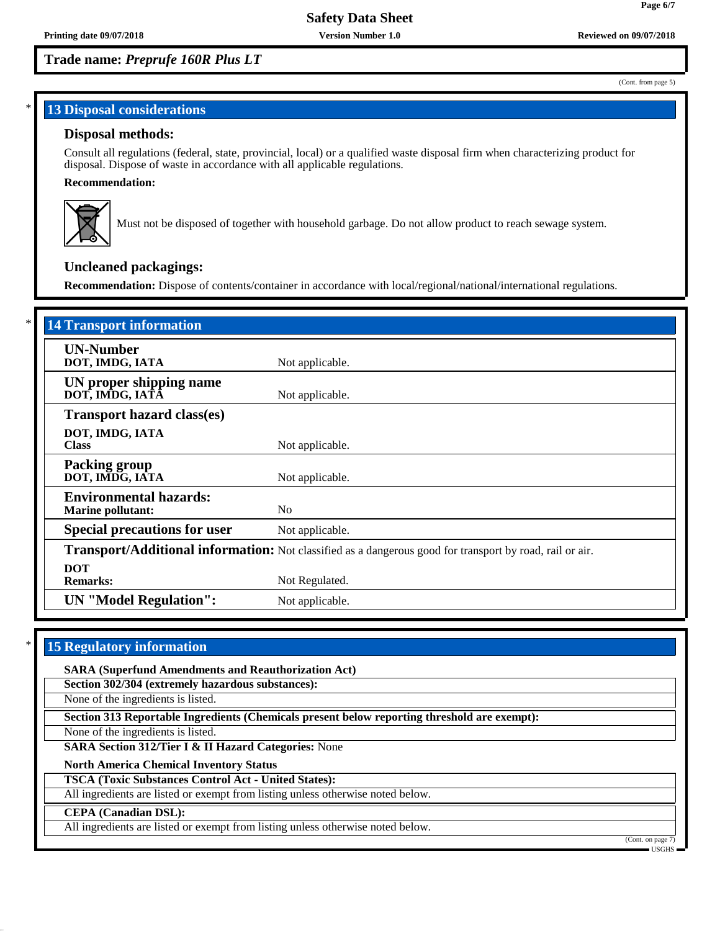## **Trade name:** *Preprufe 160R Plus LT*

# **13 Disposal considerations**

## **Disposal methods:**

Consult all regulations (federal, state, provincial, local) or a qualified waste disposal firm when characterizing product for disposal. Dispose of waste in accordance with all applicable regulations.

#### **Recommendation:**



Must not be disposed of together with household garbage. Do not allow product to reach sewage system.

## **Uncleaned packagings:**

**Recommendation:** Dispose of contents/container in accordance with local/regional/national/international regulations.

| <b>14 Transport information</b>                           |                                                                                                          |
|-----------------------------------------------------------|----------------------------------------------------------------------------------------------------------|
| <b>UN-Number</b><br>DOT, IMDG, IATA                       | Not applicable.                                                                                          |
| UN proper shipping name<br>DOT, IMDG, IATĀ                | Not applicable.                                                                                          |
| <b>Transport hazard class(es)</b>                         |                                                                                                          |
| DOT, IMDG, IATA<br><b>Class</b>                           | Not applicable.                                                                                          |
| <b>Packing group</b><br>DOT, IMDG, IATA                   | Not applicable.                                                                                          |
| <b>Environmental hazards:</b><br><b>Marine pollutant:</b> | N <sub>0</sub>                                                                                           |
| <b>Special precautions for user</b>                       | Not applicable.                                                                                          |
|                                                           | Transport/Additional information: Not classified as a dangerous good for transport by road, rail or air. |
| <b>DOT</b><br><b>Remarks:</b>                             | Not Regulated.                                                                                           |
| <b>UN</b> "Model Regulation":                             | Not applicable.                                                                                          |

## **15 Regulatory information**

**SARA (Superfund Amendments and Reauthorization Act)**

**Section 302/304 (extremely hazardous substances):**

None of the ingredients is listed.

**Section 313 Reportable Ingredients (Chemicals present below reporting threshold are exempt):**

None of the ingredients is listed.

**SARA Section 312/Tier I & II Hazard Categories:** None

**North America Chemical Inventory Status**

**TSCA (Toxic Substances Control Act - United States):**

All ingredients are listed or exempt from listing unless otherwise noted below.

#### **CEPA (Canadian DSL):**

All ingredients are listed or exempt from listing unless otherwise noted below.

(Cont. on page USGHS

(Cont. from page 5)